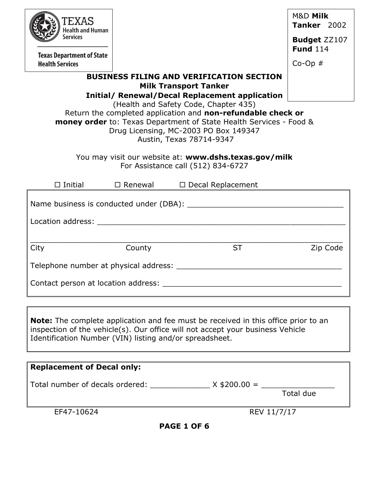| EXAS<br>Health and Human                                                                                                                                                                                                                                                                                         |           |                                                                                                                                                                                                                                | M&D Milk<br><b>Tanker</b> 2002         |  |  |  |
|------------------------------------------------------------------------------------------------------------------------------------------------------------------------------------------------------------------------------------------------------------------------------------------------------------------|-----------|--------------------------------------------------------------------------------------------------------------------------------------------------------------------------------------------------------------------------------|----------------------------------------|--|--|--|
| <b>Services</b>                                                                                                                                                                                                                                                                                                  |           |                                                                                                                                                                                                                                | <b>Budget ZZ107</b><br><b>Fund 114</b> |  |  |  |
| <b>Texas Department of State</b><br><b>Health Services</b>                                                                                                                                                                                                                                                       |           |                                                                                                                                                                                                                                | $Co-Op \#$                             |  |  |  |
|                                                                                                                                                                                                                                                                                                                  |           | <b>BUSINESS FILING AND VERIFICATION SECTION</b><br><b>Milk Transport Tanker</b><br><b>Initial/ Renewal/Decal Replacement application</b>                                                                                       |                                        |  |  |  |
| (Health and Safety Code, Chapter 435)<br>Return the completed application and non-refundable check or<br><b>money order</b> to: Texas Department of State Health Services - Food &<br>Drug Licensing, MC-2003 PO Box 149347<br>Austin, Texas 78714-9347<br>You may visit our website at: www.dshs.texas.gov/milk |           |                                                                                                                                                                                                                                |                                        |  |  |  |
|                                                                                                                                                                                                                                                                                                                  |           | For Assistance call (512) 834-6727                                                                                                                                                                                             |                                        |  |  |  |
| $\square$ Initial                                                                                                                                                                                                                                                                                                | □ Renewal | $\Box$ Decal Replacement                                                                                                                                                                                                       |                                        |  |  |  |
|                                                                                                                                                                                                                                                                                                                  |           |                                                                                                                                                                                                                                |                                        |  |  |  |
|                                                                                                                                                                                                                                                                                                                  |           | Location address: Note that the state of the state of the state of the state of the state of the state of the state of the state of the state of the state of the state of the state of the state of the state of the state of |                                        |  |  |  |
| City                                                                                                                                                                                                                                                                                                             | County    | <b>ST</b>                                                                                                                                                                                                                      | Zip Code                               |  |  |  |
| Telephone number at physical address:                                                                                                                                                                                                                                                                            |           |                                                                                                                                                                                                                                |                                        |  |  |  |
|                                                                                                                                                                                                                                                                                                                  |           |                                                                                                                                                                                                                                |                                        |  |  |  |
|                                                                                                                                                                                                                                                                                                                  |           |                                                                                                                                                                                                                                |                                        |  |  |  |
| <b>Note:</b> The complete application and fee must be received in this office prior to an<br>inspection of the vehicle(s). Our office will not accept your business Vehicle<br>Identification Number (VIN) listing and/or spreadsheet.                                                                           |           |                                                                                                                                                                                                                                |                                        |  |  |  |
| <b>Replacement of Decal only:</b>                                                                                                                                                                                                                                                                                |           |                                                                                                                                                                                                                                |                                        |  |  |  |
|                                                                                                                                                                                                                                                                                                                  |           |                                                                                                                                                                                                                                |                                        |  |  |  |
|                                                                                                                                                                                                                                                                                                                  |           | Total number of decals ordered: _________________ $X $200.00 =$ __________________                                                                                                                                             | Total due                              |  |  |  |
| EF47-10624                                                                                                                                                                                                                                                                                                       |           | REV 11/7/17                                                                                                                                                                                                                    |                                        |  |  |  |

**PAGE 1 OF 6**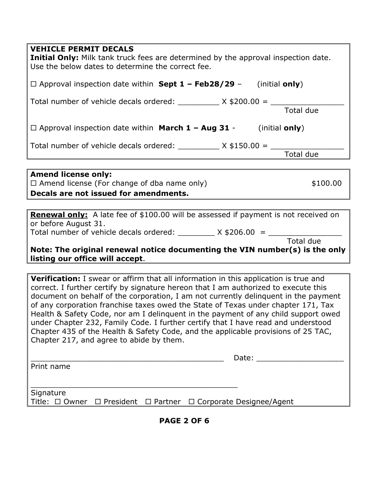| <b>VEHICLE PERMIT DECALS</b> |  |
|------------------------------|--|
|------------------------------|--|

| ILIILULL I LINTII DEUMEU<br><b>Initial Only:</b> Milk tank truck fees are determined by the approval inspection date.<br>Use the below dates to determine the correct fee. |  |  |  |  |
|----------------------------------------------------------------------------------------------------------------------------------------------------------------------------|--|--|--|--|
| $\Box$ Approval inspection date within <b>Sept 1 – Feb28/29</b> – (initial <b>only</b> )                                                                                   |  |  |  |  |
| Total number of vehicle decals ordered: ___________ $X $200.00 =$ ____________<br><b>Total due</b>                                                                         |  |  |  |  |
| $\Box$ Approval inspection date within <b>March 1 - Aug 31</b> - (initial only)                                                                                            |  |  |  |  |
| Total number of vehicle decals ordered: $\frac{1}{2}$ X \$150.00 = $\frac{1}{2}$<br>Total due                                                                              |  |  |  |  |
|                                                                                                                                                                            |  |  |  |  |
| <b>Amend license only:</b><br>$\Box$ Amend license (For change of dba name only)<br>\$100.00<br>Decals are not issued for amendments.                                      |  |  |  |  |
|                                                                                                                                                                            |  |  |  |  |
| <b>Renewal only:</b> A late fee of \$100.00 will be assessed if payment is not received on<br>or before August 31.                                                         |  |  |  |  |
| Total due                                                                                                                                                                  |  |  |  |  |
| Note: The original renewal notice documenting the VIN number(s) is the only                                                                                                |  |  |  |  |

**listing our office will accept**.

**Verification:** I swear or affirm that all information in this application is true and correct. I further certify by signature hereon that I am authorized to execute this document on behalf of the corporation, I am not currently delinquent in the payment of any corporation franchise taxes owed the State of Texas under chapter 171, Tax Health & Safety Code, nor am I delinquent in the payment of any child support owed under Chapter 232, Family Code. I further certify that I have read and understood Chapter 435 of the Health & Safety Code, and the applicable provisions of 25 TAC, Chapter 217, and agree to abide by them.

|            |  |  | Date:                                                           |  |
|------------|--|--|-----------------------------------------------------------------|--|
| Print name |  |  |                                                                 |  |
|            |  |  |                                                                 |  |
| Signature  |  |  |                                                                 |  |
|            |  |  |                                                                 |  |
|            |  |  | Title: □ Owner □ President □ Partner □ Corporate Designee/Agent |  |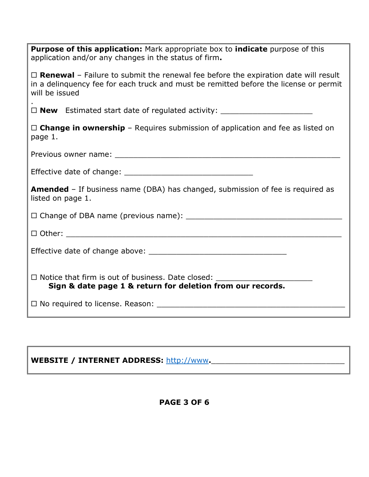| <b>Purpose of this application:</b> Mark appropriate box to <b>indicate</b> purpose of this<br>application and/or any changes in the status of firm.                                                        |  |  |  |  |  |
|-------------------------------------------------------------------------------------------------------------------------------------------------------------------------------------------------------------|--|--|--|--|--|
| $\Box$ <b>Renewal</b> – Failure to submit the renewal fee before the expiration date will result<br>in a delinquency fee for each truck and must be remitted before the license or permit<br>will be issued |  |  |  |  |  |
| $\Box$ <b>New</b> Estimated start date of regulated activity: $\Box$                                                                                                                                        |  |  |  |  |  |
| $\Box$ Change in ownership – Requires submission of application and fee as listed on<br>page 1.                                                                                                             |  |  |  |  |  |
|                                                                                                                                                                                                             |  |  |  |  |  |
|                                                                                                                                                                                                             |  |  |  |  |  |
| <b>Amended</b> – If business name (DBA) has changed, submission of fee is required as<br>listed on page 1.                                                                                                  |  |  |  |  |  |
|                                                                                                                                                                                                             |  |  |  |  |  |
|                                                                                                                                                                                                             |  |  |  |  |  |
|                                                                                                                                                                                                             |  |  |  |  |  |
| □ Notice that firm is out of business. Date closed: ____________________________<br>Sign & date page 1 & return for deletion from our records.                                                              |  |  |  |  |  |
| $\Box$ No required to license. Reason:                                                                                                                                                                      |  |  |  |  |  |

# WEBSITE / INTERNET ADDRESS: [http://www](http://www/).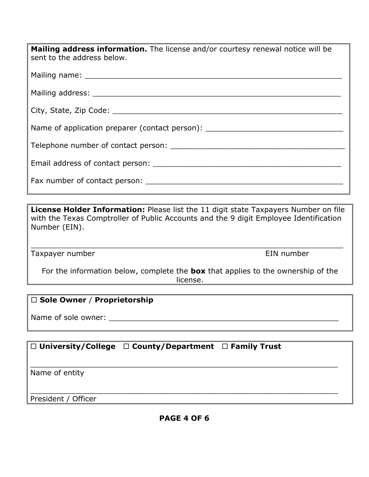| <b>Mailing address information.</b> The license and/or courtesy renewal notice will be<br>sent to the address below.                                                                                                          |
|-------------------------------------------------------------------------------------------------------------------------------------------------------------------------------------------------------------------------------|
|                                                                                                                                                                                                                               |
|                                                                                                                                                                                                                               |
|                                                                                                                                                                                                                               |
| Name of application preparer (contact person):                                                                                                                                                                                |
|                                                                                                                                                                                                                               |
|                                                                                                                                                                                                                               |
| Fax number of contact person: The same of the same of the same of the same of the same of the same of the same of the same of the same of the same of the same of the same of the same of the same of the same of the same of |

**License Holder Information:** Please list the 11 digit state Taxpayers Number on file with the Texas Comptroller of Public Accounts and the 9 digit Employee Identification Number (EIN).

\_\_\_\_\_\_\_\_\_\_\_\_\_\_\_\_\_\_\_\_\_\_\_\_\_\_\_\_\_\_\_\_\_\_\_\_\_\_\_\_\_\_\_\_\_\_\_\_\_\_\_\_\_\_\_\_\_\_\_\_\_\_\_\_\_\_\_\_

Taxpayer number **EIN** number

For the information below, complete the **box** that applies to the ownership of the license.

### **Sole Owner** / **Proprietorship**

Name of sole owner: \_\_\_\_\_\_\_\_\_\_\_\_\_\_\_\_\_\_\_\_\_\_\_\_\_\_\_\_\_\_\_\_\_\_\_\_\_\_\_\_\_\_\_\_\_\_\_\_\_\_

## **University/College County/Department Family Trust**

\_\_\_\_\_\_\_\_\_\_\_\_\_\_\_\_\_\_\_\_\_\_\_\_\_\_\_\_\_\_\_\_\_\_\_\_\_\_\_\_\_\_\_\_\_\_\_\_\_\_\_\_\_\_\_\_\_\_\_\_\_\_\_\_\_\_\_ Name of entity

President / Officer

\_\_\_\_\_\_\_\_\_\_\_\_\_\_\_\_\_\_\_\_\_\_\_\_\_\_\_\_\_\_\_\_\_\_\_\_\_\_\_\_\_\_\_\_\_\_\_\_\_\_\_\_\_\_\_\_\_\_\_\_\_\_\_\_\_\_\_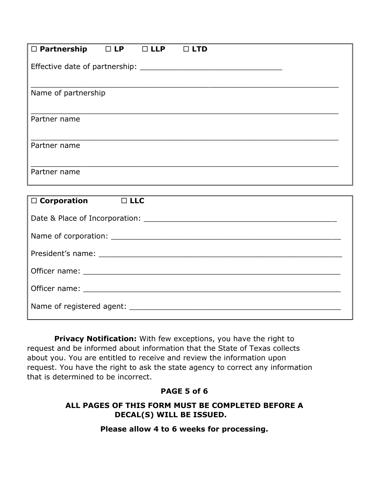| $\Box$ Partnership<br>$\Box$ LP<br>$\Box$ LLP<br>$\Box$ LTD |  |  |  |  |  |  |
|-------------------------------------------------------------|--|--|--|--|--|--|
|                                                             |  |  |  |  |  |  |
|                                                             |  |  |  |  |  |  |
| Name of partnership                                         |  |  |  |  |  |  |
| Partner name                                                |  |  |  |  |  |  |
|                                                             |  |  |  |  |  |  |
| Partner name                                                |  |  |  |  |  |  |
|                                                             |  |  |  |  |  |  |
| Partner name                                                |  |  |  |  |  |  |
|                                                             |  |  |  |  |  |  |
| $\Box$ Corporation<br>D LLC                                 |  |  |  |  |  |  |
|                                                             |  |  |  |  |  |  |
|                                                             |  |  |  |  |  |  |
|                                                             |  |  |  |  |  |  |
|                                                             |  |  |  |  |  |  |
|                                                             |  |  |  |  |  |  |
|                                                             |  |  |  |  |  |  |

**Privacy Notification:** With few exceptions, you have the right to request and be informed about information that the State of Texas collects about you. You are entitled to receive and review the information upon request. You have the right to ask the state agency to correct any information that is determined to be incorrect.

#### **PAGE 5 of 6**

#### **ALL PAGES OF THIS FORM MUST BE COMPLETED BEFORE A DECAL(S) WILL BE ISSUED.**

**Please allow 4 to 6 weeks for processing.**